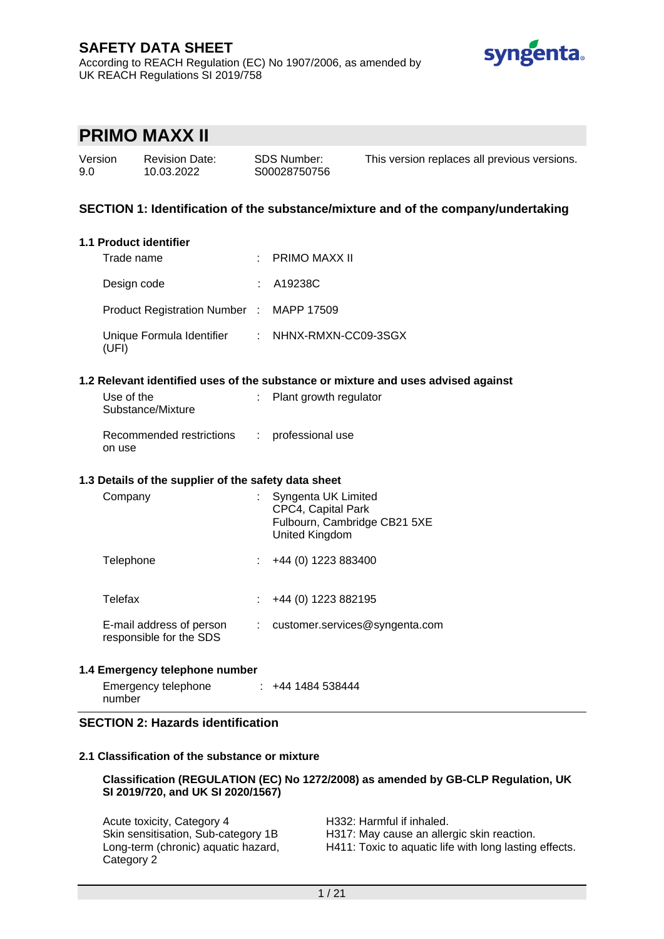

# **PRIMO MAXX II**

| Version | <b>Revision Date:</b> |
|---------|-----------------------|
| 9.0     | 10.03.2022            |

SDS Number: S00028750756 This version replaces all previous versions.

## **SECTION 1: Identification of the substance/mixture and of the company/undertaking**

#### **1.1 Product identifier**

| Trade name                                               | : PRIMO MAXX II |
|----------------------------------------------------------|-----------------|
| Design code                                              | : A19238C       |
| Product Registration Number : MAPP 17509                 |                 |
| Unique Formula Identifier : NHNX-RMXN-CC09-3SGX<br>(UFI) |                 |

### **1.2 Relevant identified uses of the substance or mixture and uses advised against**

| Use of the<br>Substance/Mixture    | : Plant growth regulator |
|------------------------------------|--------------------------|
| Recommended restrictions<br>on use | : professional use       |

### **1.3 Details of the supplier of the safety data sheet**

| Company                                             | ÷ | Syngenta UK Limited<br>CPC4, Capital Park<br>Fulbourn, Cambridge CB21 5XE<br>United Kingdom |
|-----------------------------------------------------|---|---------------------------------------------------------------------------------------------|
| Telephone                                           |   | +44 (0) 1223 883400                                                                         |
| Telefax                                             |   | $\div$ +44 (0) 1223 882195                                                                  |
| E-mail address of person<br>responsible for the SDS |   | : customer.services@syngenta.com                                                            |

### **1.4 Emergency telephone number**

| Emergency telephone | $\div$ +44 1484 538444 |
|---------------------|------------------------|
| number              |                        |

### **SECTION 2: Hazards identification**

### **2.1 Classification of the substance or mixture**

### **Classification (REGULATION (EC) No 1272/2008) as amended by GB-CLP Regulation, UK SI 2019/720, and UK SI 2020/1567)**

| Acute toxicity, Category 4          | H332: Harmful if inhaled.                              |
|-------------------------------------|--------------------------------------------------------|
| Skin sensitisation, Sub-category 1B | H317: May cause an allergic skin reaction.             |
| Long-term (chronic) aquatic hazard, | H411: Toxic to aquatic life with long lasting effects. |
| Category 2                          |                                                        |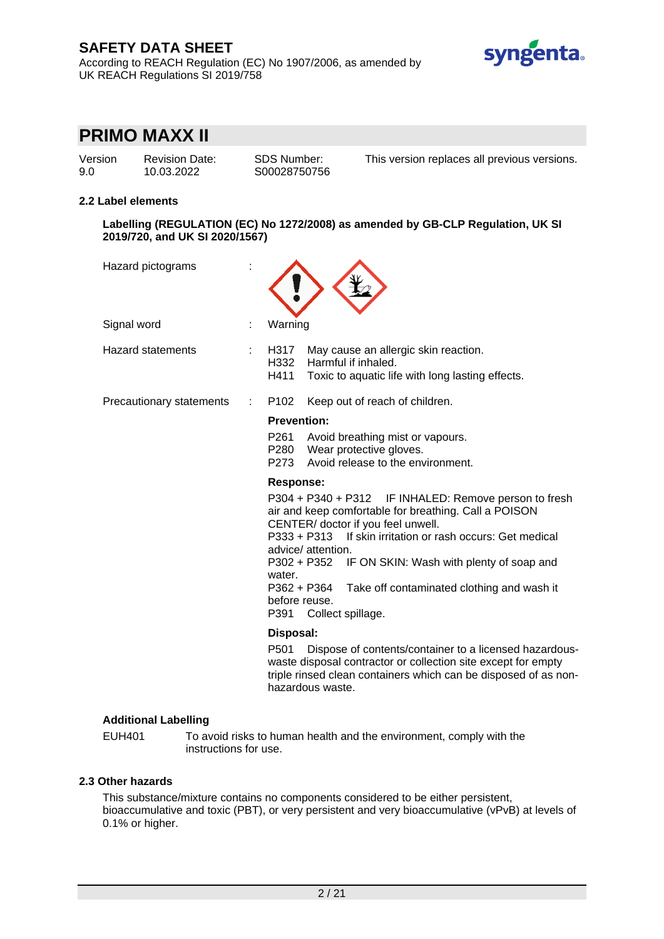According to REACH Regulation (EC) No 1907/2006, as amended by UK REACH Regulations SI 2019/758



# **PRIMO MAXX II**

| Version |  |
|---------|--|
| 9.0     |  |

Revision Date: 10.03.2022

SDS Number: S00028750756 This version replaces all previous versions.

### **2.2 Label elements**

**Labelling (REGULATION (EC) No 1272/2008) as amended by GB-CLP Regulation, UK SI 2019/720, and UK SI 2020/1567)**

| Hazard pictograms        |                                                                                                                                                                                                                                                                                                                                                                                                                                                                                                                                                                                  |
|--------------------------|----------------------------------------------------------------------------------------------------------------------------------------------------------------------------------------------------------------------------------------------------------------------------------------------------------------------------------------------------------------------------------------------------------------------------------------------------------------------------------------------------------------------------------------------------------------------------------|
| Signal word              | Warning                                                                                                                                                                                                                                                                                                                                                                                                                                                                                                                                                                          |
| <b>Hazard statements</b> | H317<br>May cause an allergic skin reaction.<br>H332<br>Harmful if inhaled.<br>H411<br>Toxic to aquatic life with long lasting effects.                                                                                                                                                                                                                                                                                                                                                                                                                                          |
| Precautionary statements | Keep out of reach of children.<br>P <sub>102</sub>                                                                                                                                                                                                                                                                                                                                                                                                                                                                                                                               |
|                          | <b>Prevention:</b><br>P261<br>Avoid breathing mist or vapours.<br>P280 Wear protective gloves.<br>Avoid release to the environment.<br>P273<br>Response:<br>P304 + P340 + P312 IF INHALED: Remove person to fresh<br>air and keep comfortable for breathing. Call a POISON<br>CENTER/ doctor if you feel unwell.<br>P333 + P313 If skin irritation or rash occurs: Get medical<br>advice/attention.<br>P302 + P352 IF ON SKIN: Wash with plenty of soap and<br>water.<br>P362 + P364<br>Take off contaminated clothing and wash it<br>before reuse.<br>P391<br>Collect spillage. |
|                          | Disposal:<br>P501<br>Dispose of contents/container to a licensed hazardous-<br>waste disposal contractor or collection site except for empty<br>triple rinsed clean containers which can be disposed of as non-<br>hazardous waste.                                                                                                                                                                                                                                                                                                                                              |

## **Additional Labelling**

EUH401 To avoid risks to human health and the environment, comply with the instructions for use.

### **2.3 Other hazards**

This substance/mixture contains no components considered to be either persistent, bioaccumulative and toxic (PBT), or very persistent and very bioaccumulative (vPvB) at levels of 0.1% or higher.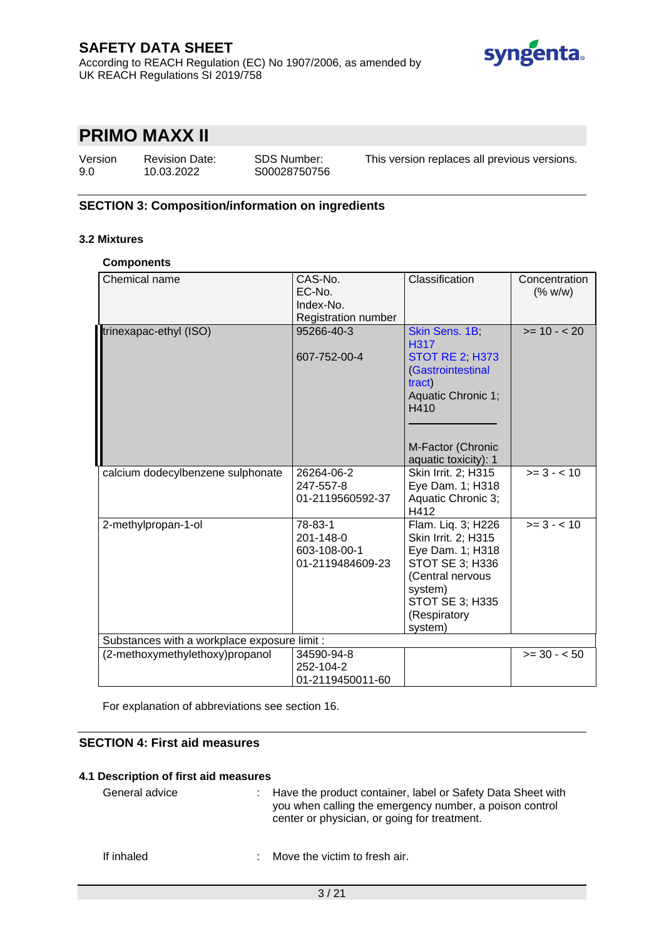

# **PRIMO MAXX II**

| Version | <b>Revision Date:</b> | <b>SDS Number:</b> |
|---------|-----------------------|--------------------|
| 9.0     | 10.03.2022            | S00028750756       |

This version replaces all previous versions.

## **SECTION 3: Composition/information on ingredients**

### **3.2 Mixtures**

#### **Components**

| Chemical name                                | CAS-No.<br>EC-No.<br>Index-No.<br><b>Registration number</b> | Classification                                                                                                                                                | Concentration<br>(% w/w) |  |
|----------------------------------------------|--------------------------------------------------------------|---------------------------------------------------------------------------------------------------------------------------------------------------------------|--------------------------|--|
| trinexapac-ethyl (ISO)                       | 95266-40-3<br>607-752-00-4                                   | Skin Sens. 1B;<br>H317<br><b>STOT RE 2, H373</b><br>(Gastrointestinal<br>tract)<br>Aquatic Chronic 1;<br>H410<br>M-Factor (Chronic<br>aquatic toxicity): 1    | $>= 10 - 20$             |  |
| calcium dodecylbenzene sulphonate            | 26264-06-2<br>247-557-8<br>01-2119560592-37                  | Skin Irrit. 2; H315<br>Eye Dam. 1; H318<br>Aquatic Chronic 3;<br>H412                                                                                         | $>= 3 - 10$              |  |
| 2-methylpropan-1-ol                          | 78-83-1<br>201-148-0<br>603-108-00-1<br>01-2119484609-23     | Flam. Lig. 3; H226<br>Skin Irrit. 2; H315<br>Eye Dam. 1; H318<br>STOT SE 3; H336<br>(Central nervous<br>system)<br>STOT SE 3; H335<br>(Respiratory<br>system) | $>= 3 - 10$              |  |
| Substances with a workplace exposure limit : |                                                              |                                                                                                                                                               |                          |  |
| (2-methoxymethylethoxy)propanol              | 34590-94-8<br>252-104-2<br>01-2119450011-60                  |                                                                                                                                                               | $>= 30 - 50$             |  |

For explanation of abbreviations see section 16.

## **SECTION 4: First aid measures**

#### **4.1 Description of first aid measures**

| General advice | : Have the product container, label or Safety Data Sheet with<br>you when calling the emergency number, a poison control<br>center or physician, or going for treatment. |
|----------------|--------------------------------------------------------------------------------------------------------------------------------------------------------------------------|
| If inhaled     | Move the victim to fresh air.                                                                                                                                            |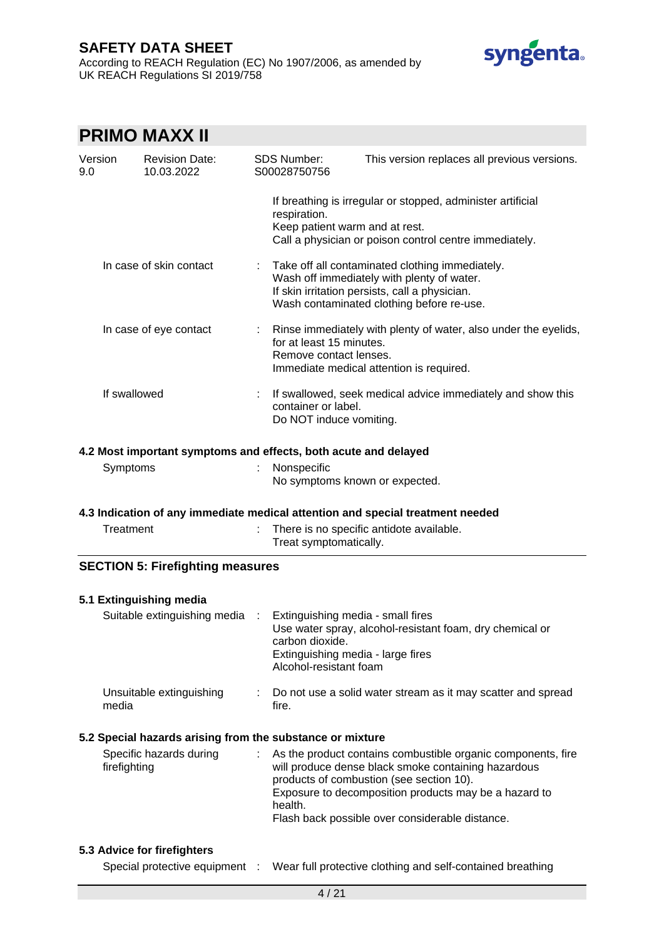According to REACH Regulation (EC) No 1907/2006, as amended by UK REACH Regulations SI 2019/758



# **PRIMO MAXX II**

| Version<br>9.0                                            | <b>Revision Date:</b><br>10.03.2022                                            |  | <b>SDS Number:</b><br>S00028750756                                                                                  | This version replaces all previous versions.                                                                                                                                                                                                                                |
|-----------------------------------------------------------|--------------------------------------------------------------------------------|--|---------------------------------------------------------------------------------------------------------------------|-----------------------------------------------------------------------------------------------------------------------------------------------------------------------------------------------------------------------------------------------------------------------------|
|                                                           |                                                                                |  | respiration.<br>Keep patient warm and at rest.                                                                      | If breathing is irregular or stopped, administer artificial<br>Call a physician or poison control centre immediately.                                                                                                                                                       |
|                                                           | In case of skin contact                                                        |  |                                                                                                                     | Take off all contaminated clothing immediately.<br>Wash off immediately with plenty of water.<br>If skin irritation persists, call a physician.<br>Wash contaminated clothing before re-use.                                                                                |
|                                                           | In case of eye contact                                                         |  | for at least 15 minutes.<br>Remove contact lenses.                                                                  | Rinse immediately with plenty of water, also under the eyelids,<br>Immediate medical attention is required.                                                                                                                                                                 |
|                                                           | If swallowed                                                                   |  | container or label.<br>Do NOT induce vomiting.                                                                      | If swallowed, seek medical advice immediately and show this                                                                                                                                                                                                                 |
|                                                           | 4.2 Most important symptoms and effects, both acute and delayed                |  |                                                                                                                     |                                                                                                                                                                                                                                                                             |
|                                                           | Symptoms                                                                       |  | Nonspecific<br>No symptoms known or expected.                                                                       |                                                                                                                                                                                                                                                                             |
|                                                           | 4.3 Indication of any immediate medical attention and special treatment needed |  |                                                                                                                     |                                                                                                                                                                                                                                                                             |
|                                                           | Treatment                                                                      |  | Treat symptomatically.                                                                                              | There is no specific antidote available.                                                                                                                                                                                                                                    |
|                                                           | <b>SECTION 5: Firefighting measures</b>                                        |  |                                                                                                                     |                                                                                                                                                                                                                                                                             |
|                                                           | 5.1 Extinguishing media                                                        |  |                                                                                                                     |                                                                                                                                                                                                                                                                             |
|                                                           | Suitable extinguishing media                                                   |  | Extinguishing media - small fires<br>carbon dioxide.<br>Extinguishing media - large fires<br>Alcohol-resistant foam | Use water spray, alcohol-resistant foam, dry chemical or                                                                                                                                                                                                                    |
|                                                           | Unsuitable extinguishing<br>media                                              |  | fire.                                                                                                               | Do not use a solid water stream as it may scatter and spread                                                                                                                                                                                                                |
| 5.2 Special hazards arising from the substance or mixture |                                                                                |  |                                                                                                                     |                                                                                                                                                                                                                                                                             |
|                                                           | Specific hazards during<br>firefighting                                        |  | health.                                                                                                             | As the product contains combustible organic components, fire<br>will produce dense black smoke containing hazardous<br>products of combustion (see section 10).<br>Exposure to decomposition products may be a hazard to<br>Flash back possible over considerable distance. |
|                                                           | 5.3 Advice for firefighters                                                    |  |                                                                                                                     |                                                                                                                                                                                                                                                                             |
|                                                           | Special protective equipment                                                   |  |                                                                                                                     | Wear full protective clothing and self-contained breathing                                                                                                                                                                                                                  |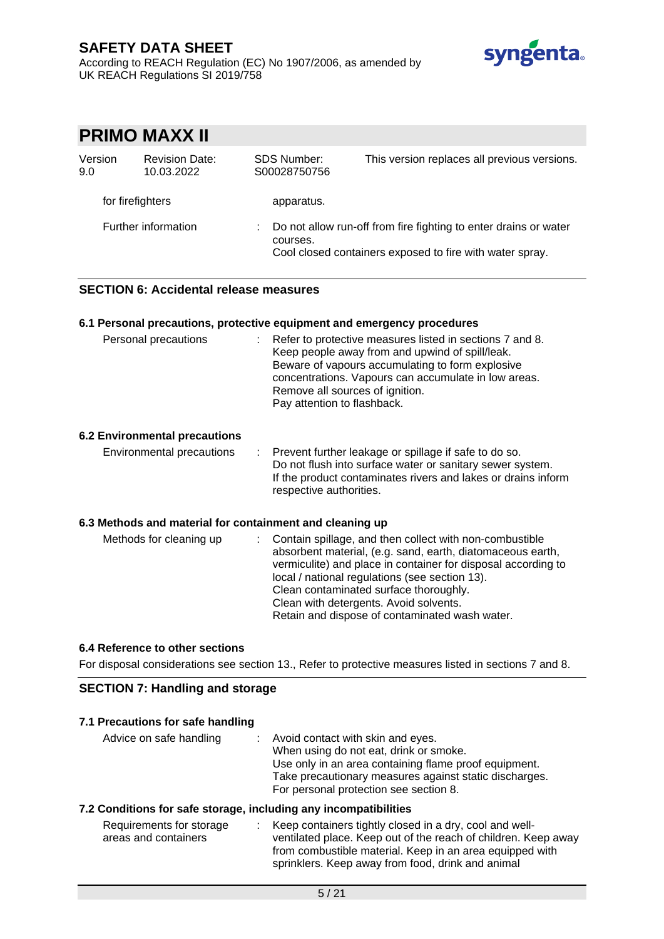According to REACH Regulation (EC) No 1907/2006, as amended by UK REACH Regulations SI 2019/758



|                  | PRIMO MAXX II                       |                                    |                                                                                                                              |
|------------------|-------------------------------------|------------------------------------|------------------------------------------------------------------------------------------------------------------------------|
| Version<br>9.0   | <b>Revision Date:</b><br>10.03.2022 | <b>SDS Number:</b><br>S00028750756 | This version replaces all previous versions.                                                                                 |
| for firefighters |                                     | apparatus.                         |                                                                                                                              |
|                  | Further information                 | courses.                           | Do not allow run-off from fire fighting to enter drains or water<br>Cool closed containers exposed to fire with water spray. |

## **SECTION 6: Accidental release measures**

### **6.1 Personal precautions, protective equipment and emergency procedures**

| Personal precautions          | Refer to protective measures listed in sections 7 and 8.<br>D.<br>Keep people away from and upwind of spill/leak.<br>Beware of vapours accumulating to form explosive<br>concentrations. Vapours can accumulate in low areas.<br>Remove all sources of ignition.<br>Pay attention to flashback. |
|-------------------------------|-------------------------------------------------------------------------------------------------------------------------------------------------------------------------------------------------------------------------------------------------------------------------------------------------|
| 6.2 Environmental precautions |                                                                                                                                                                                                                                                                                                 |

#### Environmental precautions : Prevent further leakage or spillage if safe to do so. Do not flush into surface water or sanitary sewer system. If the product contaminates rivers and lakes or drains inform respective authorities.

### **6.3 Methods and material for containment and cleaning up**

| Methods for cleaning up | : Contain spillage, and then collect with non-combustible<br>absorbent material, (e.g. sand, earth, diatomaceous earth,<br>vermiculite) and place in container for disposal according to<br>local / national regulations (see section 13).<br>Clean contaminated surface thoroughly.<br>Clean with detergents. Avoid solvents.<br>Retain and dispose of contaminated wash water. |
|-------------------------|----------------------------------------------------------------------------------------------------------------------------------------------------------------------------------------------------------------------------------------------------------------------------------------------------------------------------------------------------------------------------------|
|-------------------------|----------------------------------------------------------------------------------------------------------------------------------------------------------------------------------------------------------------------------------------------------------------------------------------------------------------------------------------------------------------------------------|

### **6.4 Reference to other sections**

For disposal considerations see section 13., Refer to protective measures listed in sections 7 and 8.

## **SECTION 7: Handling and storage**

| 7.1 Precautions for safe handling |  |  |  |  |
|-----------------------------------|--|--|--|--|
|-----------------------------------|--|--|--|--|

| Avoid contact with skin and eyes.                      |
|--------------------------------------------------------|
| When using do not eat, drink or smoke.                 |
| Use only in an area containing flame proof equipment.  |
| Take precautionary measures against static discharges. |
| For personal protection see section 8.                 |
|                                                        |

### **7.2 Conditions for safe storage, including any incompatibilities**

| Requirements for storage | Keep containers tightly closed in a dry, cool and well-        |
|--------------------------|----------------------------------------------------------------|
| areas and containers     | ventilated place. Keep out of the reach of children. Keep away |
|                          | from combustible material. Keep in an area equipped with       |
|                          | sprinklers. Keep away from food, drink and animal              |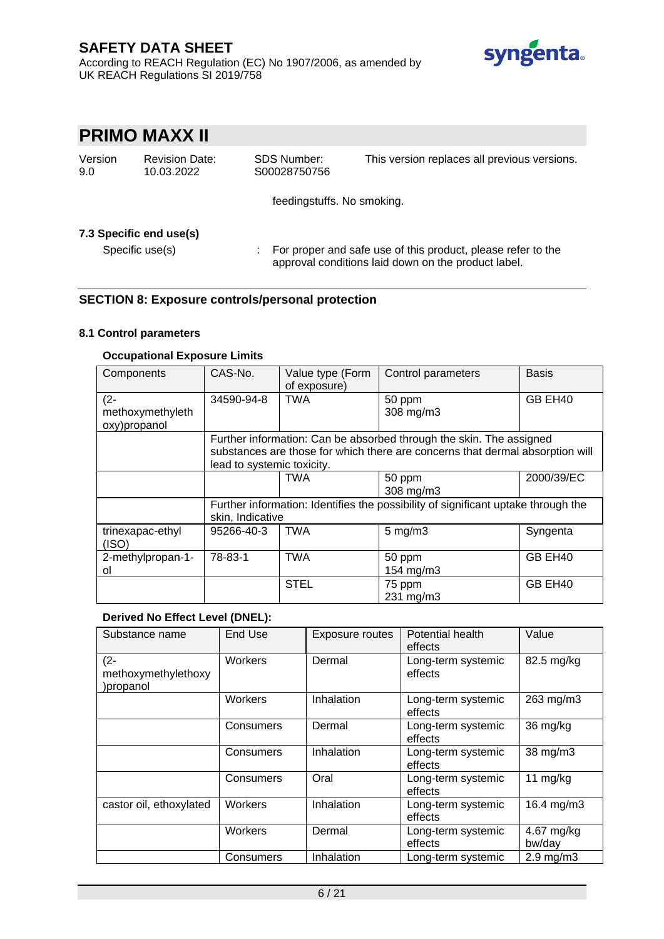According to REACH Regulation (EC) No 1907/2006, as amended by UK REACH Regulations SI 2019/758



# **PRIMO MAXX II**

| Version | Re۱  |
|---------|------|
| 9.0     | 10.0 |

| vision Date: |  |
|--------------|--|
| 03.2022      |  |

SDS Number: S00028750756 This version replaces all previous versions.

feedingstuffs. No smoking.

## **7.3 Specific end use(s)**

Specific use(s) : For proper and safe use of this product, please refer to the approval conditions laid down on the product label.

## **SECTION 8: Exposure controls/personal protection**

### **8.1 Control parameters**

## **Occupational Exposure Limits**

| Components                       | CAS-No.                                                                           | Value type (Form<br>of exposure) | Control parameters                                                            | <b>Basis</b> |
|----------------------------------|-----------------------------------------------------------------------------------|----------------------------------|-------------------------------------------------------------------------------|--------------|
| $(2 -$                           | 34590-94-8                                                                        | <b>TWA</b>                       | 50 ppm                                                                        | GB EH40      |
| methoxymethyleth<br>oxy)propanol |                                                                                   |                                  | 308 mg/m3                                                                     |              |
|                                  |                                                                                   |                                  | Further information: Can be absorbed through the skin. The assigned           |              |
|                                  |                                                                                   |                                  | substances are those for which there are concerns that dermal absorption will |              |
|                                  | lead to systemic toxicity.                                                        |                                  |                                                                               |              |
|                                  |                                                                                   | <b>TWA</b>                       | 50 ppm                                                                        | 2000/39/EC   |
|                                  |                                                                                   |                                  | 308 mg/m3                                                                     |              |
|                                  | Further information: Identifies the possibility of significant uptake through the |                                  |                                                                               |              |
|                                  | skin, Indicative                                                                  |                                  |                                                                               |              |
| trinexapac-ethyl<br>(ISO)        | 95266-40-3                                                                        | <b>TWA</b>                       | $5 \text{ mg/m}$ 3                                                            | Syngenta     |
| 2-methylpropan-1-                | 78-83-1                                                                           | <b>TWA</b>                       | 50 ppm                                                                        | GB EH40      |
| ol                               |                                                                                   |                                  | 154 mg/m3                                                                     |              |
|                                  |                                                                                   | <b>STEL</b>                      | 75 ppm                                                                        | GB EH40      |
|                                  |                                                                                   |                                  | 231 mg/m3                                                                     |              |

### **Derived No Effect Level (DNEL):**

| Substance name                            | End Use   | Exposure routes | Potential health<br>effects   | Value                |
|-------------------------------------------|-----------|-----------------|-------------------------------|----------------------|
| $(2 -$<br>methoxymethylethoxy<br>propanol | Workers   | Dermal          | Long-term systemic<br>effects | 82.5 mg/kg           |
|                                           | Workers   | Inhalation      | Long-term systemic<br>effects | 263 mg/m3            |
|                                           | Consumers | Dermal          | Long-term systemic<br>effects | 36 mg/kg             |
|                                           | Consumers | Inhalation      | Long-term systemic<br>effects | 38 mg/m3             |
|                                           | Consumers | Oral            | Long-term systemic<br>effects | 11 $mg/kg$           |
| castor oil, ethoxylated                   | Workers   | Inhalation      | Long-term systemic<br>effects | 16.4 mg/m3           |
|                                           | Workers   | Dermal          | Long-term systemic<br>effects | 4.67 mg/kg<br>bw/day |
|                                           | Consumers | Inhalation      | Long-term systemic            | $2.9 \text{ mg/m}$   |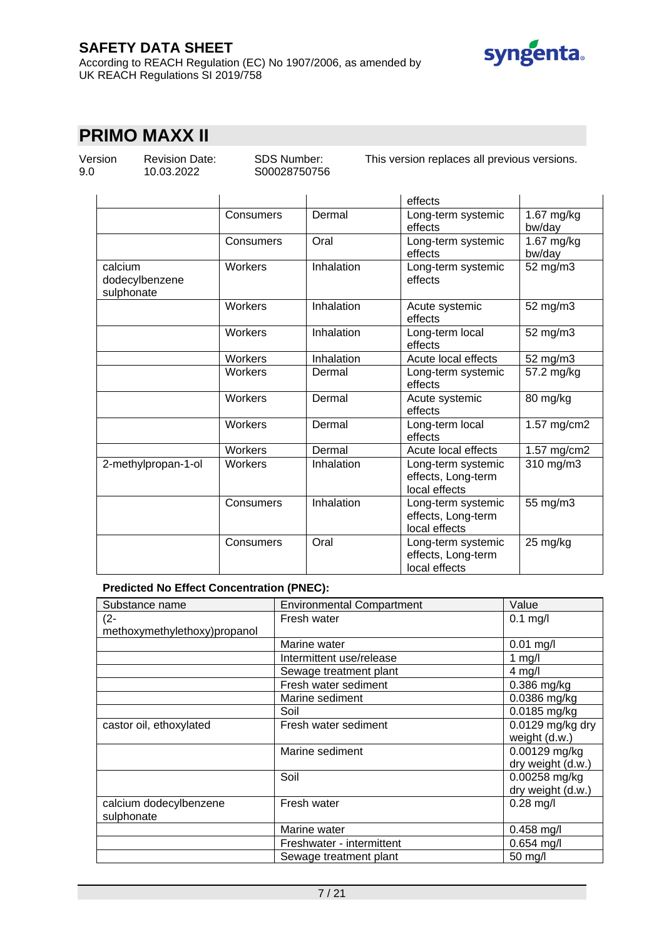According to REACH Regulation (EC) No 1907/2006, as amended by UK REACH Regulations SI 2019/758



# **PRIMO MAXX II**

Version 9.0

Revision Date: 10.03.2022

SDS Number: S00028750756 This version replaces all previous versions.

|                                         |           |            | effects                                                   |                      |
|-----------------------------------------|-----------|------------|-----------------------------------------------------------|----------------------|
|                                         | Consumers | Dermal     | Long-term systemic<br>effects                             | 1.67 mg/kg<br>bw/day |
|                                         | Consumers | Oral       | Long-term systemic<br>effects                             | 1.67 mg/kg<br>bw/day |
| calcium<br>dodecylbenzene<br>sulphonate | Workers   | Inhalation | Long-term systemic<br>effects                             | 52 mg/m3             |
|                                         | Workers   | Inhalation | Acute systemic<br>effects                                 | 52 mg/m3             |
|                                         | Workers   | Inhalation | Long-term local<br>effects                                | 52 mg/m3             |
|                                         | Workers   | Inhalation | Acute local effects                                       | 52 mg/m3             |
|                                         | Workers   | Dermal     | Long-term systemic<br>effects                             | 57.2 mg/kg           |
|                                         | Workers   | Dermal     | Acute systemic<br>effects                                 | 80 mg/kg             |
|                                         | Workers   | Dermal     | Long-term local<br>effects                                | 1.57 mg/cm2          |
|                                         | Workers   | Dermal     | Acute local effects                                       | 1.57 mg/cm2          |
| 2-methylpropan-1-ol                     | Workers   | Inhalation | Long-term systemic<br>effects, Long-term<br>local effects | 310 mg/m3            |
|                                         | Consumers | Inhalation | Long-term systemic<br>effects, Long-term<br>local effects | 55 mg/m3             |
|                                         | Consumers | Oral       | Long-term systemic<br>effects, Long-term<br>local effects | 25 mg/kg             |

## **Predicted No Effect Concentration (PNEC):**

| Substance name               | <b>Environmental Compartment</b> | Value             |
|------------------------------|----------------------------------|-------------------|
| $(2 -$                       | Fresh water                      | $0.1$ mg/l        |
| methoxymethylethoxy)propanol |                                  |                   |
|                              | Marine water                     | $0.01$ mg/l       |
|                              | Intermittent use/release         | 1 mg/l            |
|                              | Sewage treatment plant           | $4$ mg/l          |
|                              | Fresh water sediment             | 0.386 mg/kg       |
|                              | Marine sediment                  | 0.0386 mg/kg      |
|                              | Soil                             | 0.0185 mg/kg      |
| castor oil, ethoxylated      | Fresh water sediment             | 0.0129 mg/kg dry  |
|                              |                                  | weight (d.w.)     |
|                              | Marine sediment                  | 0.00129 mg/kg     |
|                              |                                  | dry weight (d.w.) |
|                              | Soil                             | 0.00258 mg/kg     |
|                              |                                  | dry weight (d.w.) |
| calcium dodecylbenzene       | Fresh water                      | $0.28$ mg/l       |
| sulphonate                   |                                  |                   |
|                              | Marine water                     | $0.458$ mg/l      |
|                              | Freshwater - intermittent        | $0.654$ mg/l      |
|                              | Sewage treatment plant           | $50 \text{ mg/l}$ |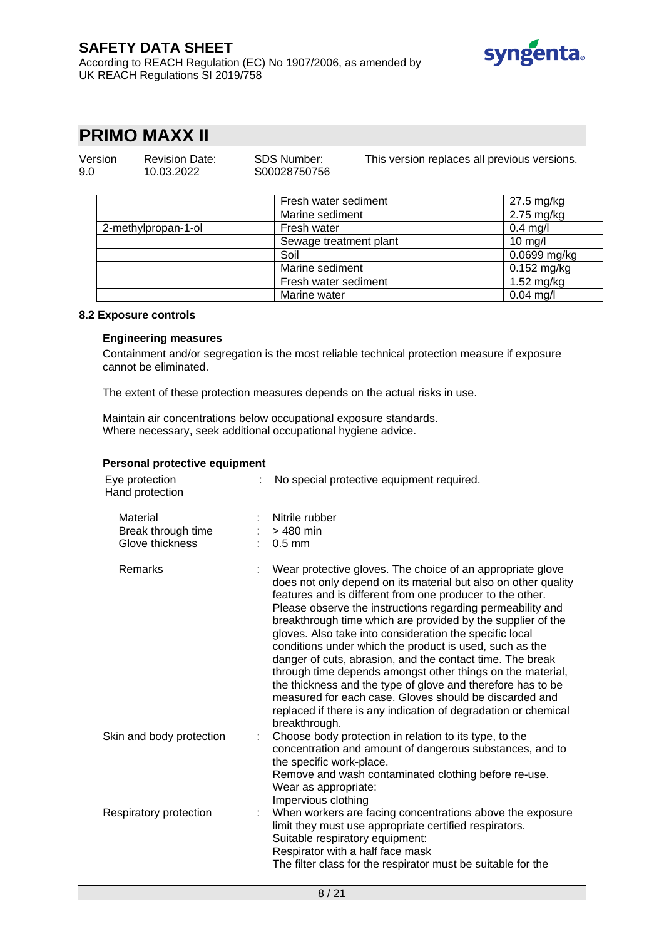According to REACH Regulation (EC) No 1907/2006, as amended by UK REACH Regulations SI 2019/758



# **PRIMO MAXX II**

| Version<br>9.0 | <b>Revision Date:</b><br>10.03.2022 | <b>SDS Number:</b><br>S00028750756 | This version replaces all previous versions. |
|----------------|-------------------------------------|------------------------------------|----------------------------------------------|
|                |                                     | Fresh water sediment               | 27.5 mg/kg                                   |
|                |                                     | Marine sediment                    | $2.75$ mg/kg                                 |
|                | 2-methylpropan-1-ol                 | Fresh water                        | $0.4$ mg/l                                   |
|                |                                     | Sewage treatment plant             | 10 mg/l                                      |
|                |                                     | Soil                               | $0.0699$ mg/kg                               |
|                |                                     | Marine sediment                    | $0.152$ mg/kg                                |
|                |                                     | Fresh water sediment               | $1.52 \text{ mg/kg}$                         |
|                |                                     | Marine water                       | $0.04$ mg/l                                  |

### **8.2 Exposure controls**

#### **Engineering measures**

Containment and/or segregation is the most reliable technical protection measure if exposure cannot be eliminated.

The extent of these protection measures depends on the actual risks in use.

Maintain air concentrations below occupational exposure standards. Where necessary, seek additional occupational hygiene advice.

#### **Personal protective equipment**

| Eye protection<br>Hand protection                 |   | No special protective equipment required.                                                                                                                                                                                                                                                                                                                                                                                                                                                                                                                                                                                                                                                                                                                                           |
|---------------------------------------------------|---|-------------------------------------------------------------------------------------------------------------------------------------------------------------------------------------------------------------------------------------------------------------------------------------------------------------------------------------------------------------------------------------------------------------------------------------------------------------------------------------------------------------------------------------------------------------------------------------------------------------------------------------------------------------------------------------------------------------------------------------------------------------------------------------|
| Material<br>Break through time<br>Glove thickness |   | Nitrile rubber<br>> 480 min<br>$: 0.5$ mm                                                                                                                                                                                                                                                                                                                                                                                                                                                                                                                                                                                                                                                                                                                                           |
| Remarks                                           |   | Wear protective gloves. The choice of an appropriate glove<br>does not only depend on its material but also on other quality<br>features and is different from one producer to the other.<br>Please observe the instructions regarding permeability and<br>breakthrough time which are provided by the supplier of the<br>gloves. Also take into consideration the specific local<br>conditions under which the product is used, such as the<br>danger of cuts, abrasion, and the contact time. The break<br>through time depends amongst other things on the material,<br>the thickness and the type of glove and therefore has to be<br>measured for each case. Gloves should be discarded and<br>replaced if there is any indication of degradation or chemical<br>breakthrough. |
| Skin and body protection                          | ÷ | Choose body protection in relation to its type, to the<br>concentration and amount of dangerous substances, and to<br>the specific work-place.<br>Remove and wash contaminated clothing before re-use.<br>Wear as appropriate:<br>Impervious clothing                                                                                                                                                                                                                                                                                                                                                                                                                                                                                                                               |
| Respiratory protection                            |   | When workers are facing concentrations above the exposure<br>limit they must use appropriate certified respirators.<br>Suitable respiratory equipment:<br>Respirator with a half face mask<br>The filter class for the respirator must be suitable for the                                                                                                                                                                                                                                                                                                                                                                                                                                                                                                                          |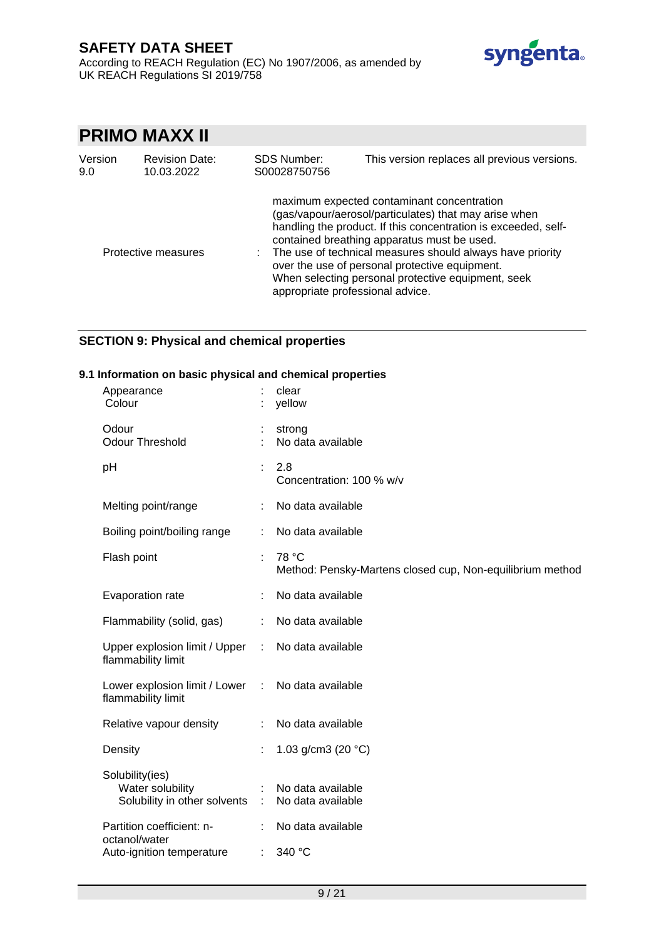

# **PRIMO MAXX II**

| Version<br><b>Revision Date:</b><br>10.03.2022<br>9.0 |                     | <b>SDS Number:</b><br>S00028750756 | This version replaces all previous versions.                                                                                                                                                                                                                                                                                                                                                                                  |  |  |
|-------------------------------------------------------|---------------------|------------------------------------|-------------------------------------------------------------------------------------------------------------------------------------------------------------------------------------------------------------------------------------------------------------------------------------------------------------------------------------------------------------------------------------------------------------------------------|--|--|
|                                                       | Protective measures |                                    | maximum expected contaminant concentration<br>(gas/vapour/aerosol/particulates) that may arise when<br>handling the product. If this concentration is exceeded, self-<br>contained breathing apparatus must be used.<br>The use of technical measures should always have priority<br>over the use of personal protective equipment.<br>When selecting personal protective equipment, seek<br>appropriate professional advice. |  |  |

## **SECTION 9: Physical and chemical properties**

### **9.1 Information on basic physical and chemical properties**

| Appearance<br>Colour                                                    |            | clear<br>yellow                                                    |
|-------------------------------------------------------------------------|------------|--------------------------------------------------------------------|
| Odour<br><b>Odour Threshold</b>                                         |            | strong<br>No data available                                        |
| pH                                                                      |            | 2.8<br>Concentration: 100 % w/v                                    |
| Melting point/range                                                     |            | No data available                                                  |
| Boiling point/boiling range                                             | ÷.         | No data available                                                  |
| Flash point                                                             | t.         | 78 °C<br>Method: Pensky-Martens closed cup, Non-equilibrium method |
| Evaporation rate                                                        |            | No data available                                                  |
| Flammability (solid, gas)                                               | t.         | No data available                                                  |
| Upper explosion limit / Upper<br>flammability limit                     | $\sim 100$ | No data available                                                  |
| Lower explosion limit / Lower : No data available<br>flammability limit |            |                                                                    |
| Relative vapour density                                                 |            | No data available                                                  |
| Density                                                                 |            | 1.03 g/cm3 (20 $°C$ )                                              |
| Solubility(ies)<br>Water solubility<br>Solubility in other solvents :   |            | No data available<br>No data available                             |
| Partition coefficient: n-<br>octanol/water                              |            | No data available                                                  |
| Auto-ignition temperature                                               | ÷.         | 340 °C                                                             |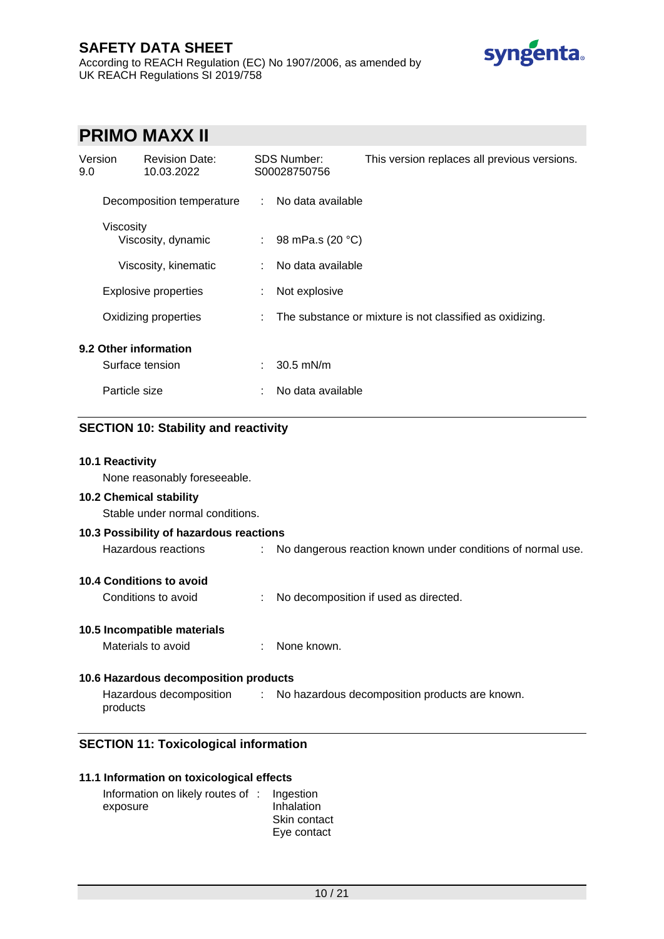According to REACH Regulation (EC) No 1907/2006, as amended by UK REACH Regulations SI 2019/758



# **PRIMO MAXX II**

| Version<br>9.0 |               | <b>Revision Date:</b><br>10.03.2022 |   | <b>SDS Number:</b><br>S00028750756 | This version replaces all previous versions.             |
|----------------|---------------|-------------------------------------|---|------------------------------------|----------------------------------------------------------|
|                |               | Decomposition temperature           | ÷ | No data available                  |                                                          |
|                | Viscosity     | Viscosity, dynamic                  | ÷ | 98 mPa.s (20 °C)                   |                                                          |
|                |               | Viscosity, kinematic                | ÷ | No data available                  |                                                          |
|                |               | <b>Explosive properties</b>         | ÷ | Not explosive                      |                                                          |
|                |               | Oxidizing properties                |   |                                    | The substance or mixture is not classified as oxidizing. |
|                |               | 9.2 Other information               |   |                                    |                                                          |
|                |               | Surface tension                     | ÷ | $30.5$ mN/m                        |                                                          |
|                | Particle size |                                     |   | No data available                  |                                                          |

## **SECTION 10: Stability and reactivity**

### **10.1 Reactivity**

None reasonably foreseeable.

#### **10.2 Chemical stability**

Stable under normal conditions.

## **10.3 Possibility of hazardous reactions** Hazardous reactions : No dangerous reaction known under conditions of normal use.

**10.4 Conditions to avoid**

Conditions to avoid : No decomposition if used as directed.

## **10.5 Incompatible materials**

| Materials to avoid<br>None known. |
|-----------------------------------|
|                                   |

## **10.6 Hazardous decomposition products**

Hazardous decomposition products : No hazardous decomposition products are known.

## **SECTION 11: Toxicological information**

### **11.1 Information on toxicological effects**

| Information on likely routes of : Ingestion |              |
|---------------------------------------------|--------------|
| exposure                                    | Inhalation   |
|                                             | Skin contact |
|                                             | Eye contact  |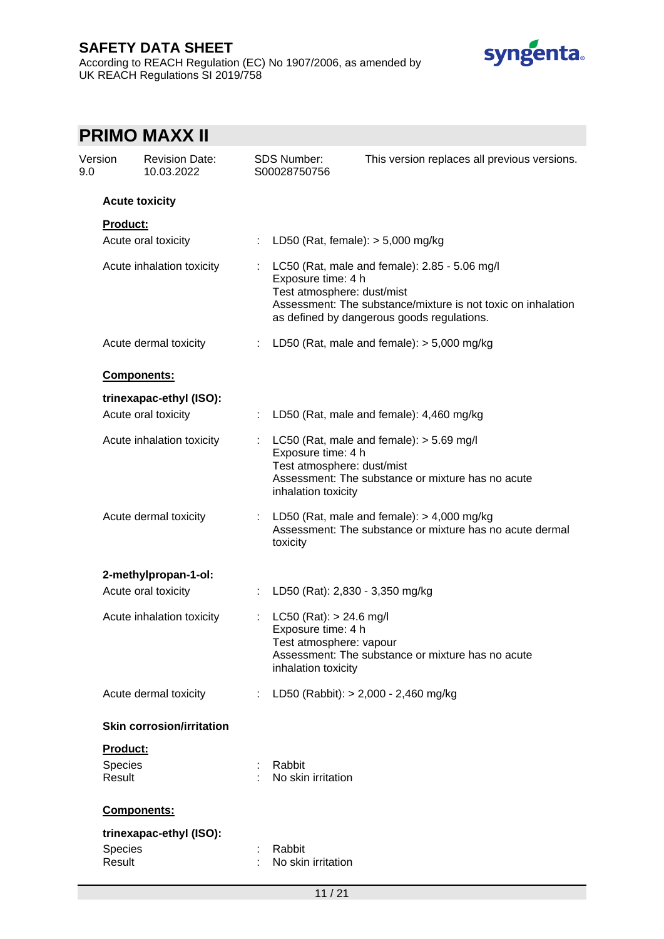## **SAFETY DATA SHEET** According to REACH Regulation (EC) No 1907/2006, as amended by UK REACH Regulations SI 2019/758



| Version<br>9.0 | <b>Revision Date:</b><br>10.03.2022 |                              | <b>SDS Number:</b><br>S00028750756                                                                | This version replaces all previous versions.                                                                                                                |
|----------------|-------------------------------------|------------------------------|---------------------------------------------------------------------------------------------------|-------------------------------------------------------------------------------------------------------------------------------------------------------------|
|                | <b>Acute toxicity</b>               |                              |                                                                                                   |                                                                                                                                                             |
|                | Product:<br>Acute oral toxicity     | ÷.                           | LD50 (Rat, female): $> 5,000$ mg/kg                                                               |                                                                                                                                                             |
|                | Acute inhalation toxicity           |                              | Exposure time: 4 h<br>Test atmosphere: dust/mist                                                  | LC50 (Rat, male and female): 2.85 - 5.06 mg/l<br>Assessment: The substance/mixture is not toxic on inhalation<br>as defined by dangerous goods regulations. |
|                | Acute dermal toxicity               | $\mathcal{L}_{\mathrm{eff}}$ |                                                                                                   | LD50 (Rat, male and female): $> 5,000$ mg/kg                                                                                                                |
|                | Components:                         |                              |                                                                                                   |                                                                                                                                                             |
|                | trinexapac-ethyl (ISO):             |                              |                                                                                                   |                                                                                                                                                             |
|                | Acute oral toxicity                 |                              |                                                                                                   | LD50 (Rat, male and female): 4,460 mg/kg                                                                                                                    |
|                | Acute inhalation toxicity           |                              | Exposure time: 4 h<br>Test atmosphere: dust/mist<br>inhalation toxicity                           | LC50 (Rat, male and female): $>$ 5.69 mg/l<br>Assessment: The substance or mixture has no acute                                                             |
|                | Acute dermal toxicity               | ÷                            | toxicity                                                                                          | LD50 (Rat, male and female): $>$ 4,000 mg/kg<br>Assessment: The substance or mixture has no acute dermal                                                    |
|                | 2-methylpropan-1-ol:                |                              |                                                                                                   |                                                                                                                                                             |
|                | Acute oral toxicity                 | ÷                            | LD50 (Rat): 2,830 - 3,350 mg/kg                                                                   |                                                                                                                                                             |
|                | Acute inhalation toxicity           | t.                           | LC50 (Rat): $> 24.6$ mg/l<br>Exposure time: 4 h<br>Test atmosphere: vapour<br>inhalation toxicity | Assessment: The substance or mixture has no acute                                                                                                           |
|                | Acute dermal toxicity               | ÷                            |                                                                                                   | LD50 (Rabbit): > 2,000 - 2,460 mg/kg                                                                                                                        |
|                | <b>Skin corrosion/irritation</b>    |                              |                                                                                                   |                                                                                                                                                             |
|                | Product:                            |                              |                                                                                                   |                                                                                                                                                             |
|                | Species<br>Result                   |                              | Rabbit<br>No skin irritation                                                                      |                                                                                                                                                             |
|                | Components:                         |                              |                                                                                                   |                                                                                                                                                             |
|                | trinexapac-ethyl (ISO):             |                              |                                                                                                   |                                                                                                                                                             |
|                | Species<br>Result                   |                              | Rabbit<br>No skin irritation                                                                      |                                                                                                                                                             |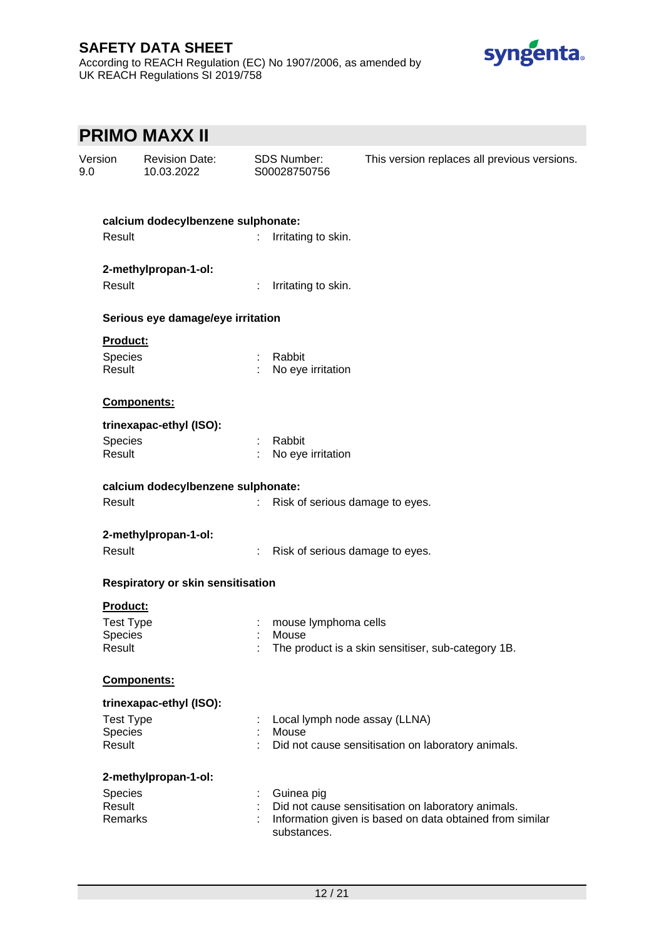According to REACH Regulation (EC) No 1907/2006, as amended by UK REACH Regulations SI 2019/758



# **PRIMO MAXX II**

| Version<br>9.0    | <b>Revision Date:</b><br>10.03.2022 |                       | <b>SDS Number:</b><br>S00028750756 | This version replaces all previous versions.             |
|-------------------|-------------------------------------|-----------------------|------------------------------------|----------------------------------------------------------|
|                   | calcium dodecylbenzene sulphonate:  |                       |                                    |                                                          |
| Result            |                                     | ÷.                    | Irritating to skin.                |                                                          |
|                   | 2-methylpropan-1-ol:                |                       |                                    |                                                          |
| Result            |                                     |                       | Irritating to skin.                |                                                          |
|                   | Serious eye damage/eye irritation   |                       |                                    |                                                          |
| <b>Product:</b>   |                                     |                       |                                    |                                                          |
| Species           |                                     |                       | : Rabbit                           |                                                          |
| Result            |                                     |                       | No eye irritation                  |                                                          |
|                   | Components:                         |                       |                                    |                                                          |
|                   | trinexapac-ethyl (ISO):             |                       |                                    |                                                          |
| Species           |                                     |                       | Rabbit                             |                                                          |
| Result            |                                     |                       | No eye irritation                  |                                                          |
|                   | calcium dodecylbenzene sulphonate:  |                       |                                    |                                                          |
| Result            |                                     |                       |                                    | Risk of serious damage to eyes.                          |
|                   | 2-methylpropan-1-ol:                |                       |                                    |                                                          |
| Result            |                                     | $\mathbb{Z}^{\times}$ |                                    | Risk of serious damage to eyes.                          |
|                   | Respiratory or skin sensitisation   |                       |                                    |                                                          |
| <b>Product:</b>   |                                     |                       |                                    |                                                          |
| <b>Test Type</b>  |                                     |                       | mouse lymphoma cells               |                                                          |
| <b>Species</b>    |                                     |                       | Mouse                              |                                                          |
| Result            |                                     |                       |                                    | The product is a skin sensitiser, sub-category 1B.       |
|                   | Components:                         |                       |                                    |                                                          |
|                   | trinexapac-ethyl (ISO):             |                       |                                    |                                                          |
| <b>Test Type</b>  |                                     |                       |                                    | Local lymph node assay (LLNA)                            |
| Species           |                                     |                       | Mouse                              |                                                          |
| Result            |                                     |                       |                                    | Did not cause sensitisation on laboratory animals.       |
|                   | 2-methylpropan-1-ol:                |                       |                                    |                                                          |
| Species           |                                     |                       | Guinea pig                         |                                                          |
| Result<br>Remarks |                                     |                       |                                    | Did not cause sensitisation on laboratory animals.       |
|                   |                                     |                       | substances.                        | Information given is based on data obtained from similar |
|                   |                                     |                       |                                    |                                                          |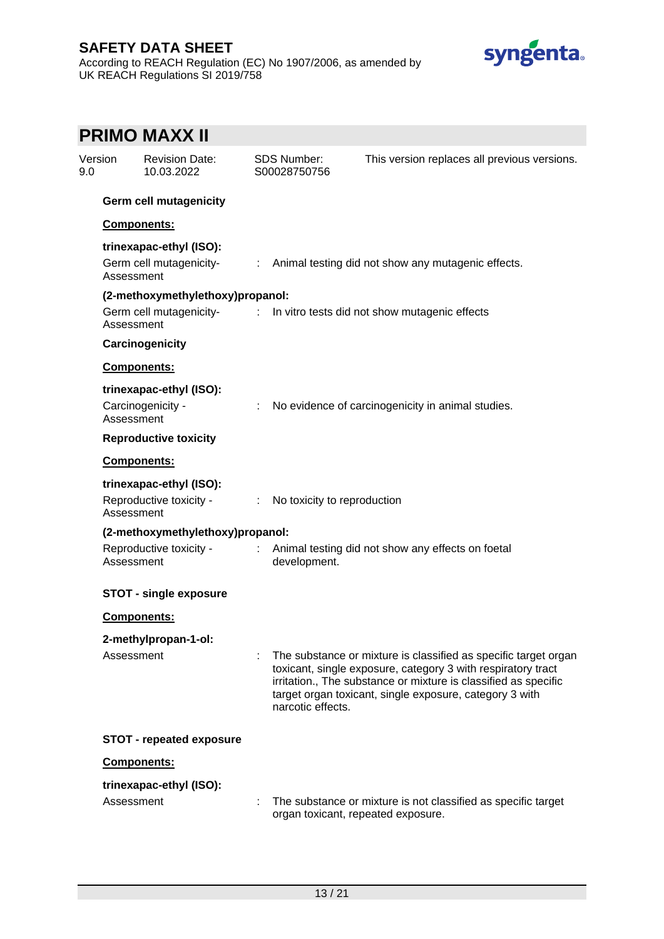According to REACH Regulation (EC) No 1907/2006, as amended by UK REACH Regulations SI 2019/758



|                               |                    | <b>PRIMO MAXX II</b>                               |                             |                                    |                                                                                                                                                                                                                                                               |
|-------------------------------|--------------------|----------------------------------------------------|-----------------------------|------------------------------------|---------------------------------------------------------------------------------------------------------------------------------------------------------------------------------------------------------------------------------------------------------------|
| Version<br>9.0                |                    | <b>Revision Date:</b><br>10.03.2022                |                             | <b>SDS Number:</b><br>S00028750756 | This version replaces all previous versions.                                                                                                                                                                                                                  |
| <b>Germ cell mutagenicity</b> |                    |                                                    |                             |                                    |                                                                                                                                                                                                                                                               |
|                               | Components:        |                                                    |                             |                                    |                                                                                                                                                                                                                                                               |
|                               | Assessment         | trinexapac-ethyl (ISO):<br>Germ cell mutagenicity- |                             |                                    | : Animal testing did not show any mutagenic effects.                                                                                                                                                                                                          |
|                               |                    | (2-methoxymethylethoxy)propanol:                   |                             |                                    |                                                                                                                                                                                                                                                               |
|                               | Assessment         | Germ cell mutagenicity-                            |                             |                                    | : In vitro tests did not show mutagenic effects                                                                                                                                                                                                               |
|                               |                    | Carcinogenicity                                    |                             |                                    |                                                                                                                                                                                                                                                               |
|                               | Components:        |                                                    |                             |                                    |                                                                                                                                                                                                                                                               |
|                               | Assessment         | trinexapac-ethyl (ISO):<br>Carcinogenicity -       | ÷.                          |                                    | No evidence of carcinogenicity in animal studies.                                                                                                                                                                                                             |
|                               |                    | <b>Reproductive toxicity</b>                       |                             |                                    |                                                                                                                                                                                                                                                               |
|                               | <b>Components:</b> |                                                    |                             |                                    |                                                                                                                                                                                                                                                               |
|                               | Assessment         | trinexapac-ethyl (ISO):<br>Reproductive toxicity - | $\mathcal{L}^{\mathcal{L}}$ | No toxicity to reproduction        |                                                                                                                                                                                                                                                               |
|                               |                    | (2-methoxymethylethoxy)propanol:                   |                             |                                    |                                                                                                                                                                                                                                                               |
|                               | Assessment         | Reproductive toxicity -                            |                             | development.                       | Animal testing did not show any effects on foetal                                                                                                                                                                                                             |
|                               |                    | <b>STOT - single exposure</b>                      |                             |                                    |                                                                                                                                                                                                                                                               |
|                               | <b>Components:</b> |                                                    |                             |                                    |                                                                                                                                                                                                                                                               |
|                               |                    | 2-methylpropan-1-ol:                               |                             |                                    |                                                                                                                                                                                                                                                               |
|                               | Assessment         |                                                    |                             | narcotic effects.                  | The substance or mixture is classified as specific target organ<br>toxicant, single exposure, category 3 with respiratory tract<br>irritation., The substance or mixture is classified as specific<br>target organ toxicant, single exposure, category 3 with |
|                               |                    | <b>STOT - repeated exposure</b>                    |                             |                                    |                                                                                                                                                                                                                                                               |
|                               | Components:        |                                                    |                             |                                    |                                                                                                                                                                                                                                                               |
|                               | Assessment         | trinexapac-ethyl (ISO):                            |                             |                                    | The substance or mixture is not classified as specific target<br>organ toxicant, repeated exposure.                                                                                                                                                           |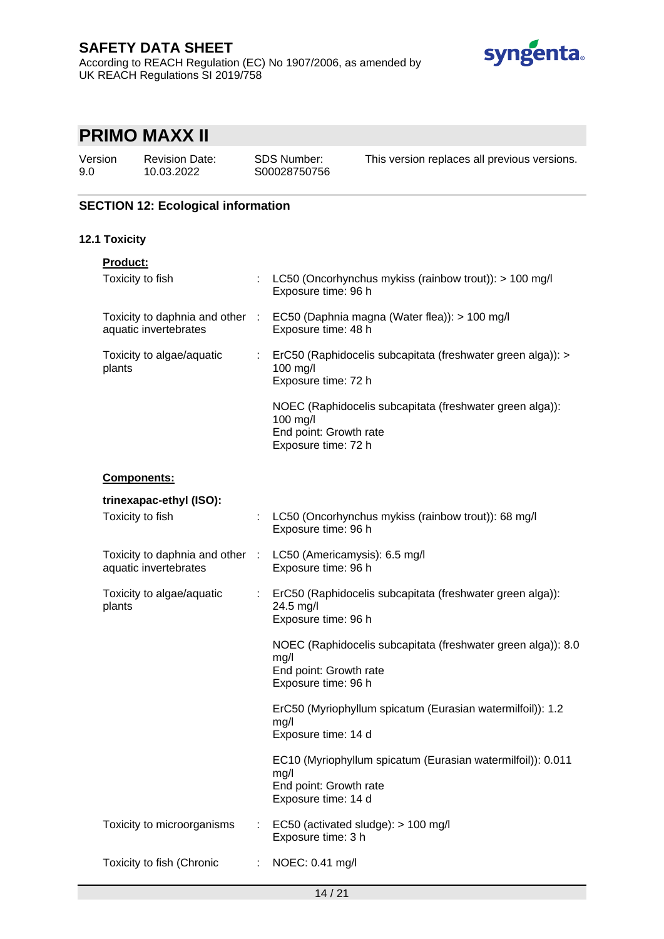## **SAFETY DATA SHEET** According to REACH Regulation (EC) No 1907/2006, as amended by UK REACH Regulations SI 2019/758



# **PRIMO MAXX II**

Version 9.0

Revision Date: 10.03.2022

SDS Number: S00028750756 This version replaces all previous versions.

# **SECTION 12: Ecological information**

## **12.1 Toxicity**

| Product:                            |                       |                                                                                                                       |
|-------------------------------------|-----------------------|-----------------------------------------------------------------------------------------------------------------------|
| Toxicity to fish                    |                       | LC50 (Oncorhynchus mykiss (rainbow trout)): > 100 mg/l<br>Exposure time: 96 h                                         |
| aquatic invertebrates               |                       | Toxicity to daphnia and other : EC50 (Daphnia magna (Water flea)): > 100 mg/l<br>Exposure time: 48 h                  |
| Toxicity to algae/aquatic<br>plants | $\mathbb{Z}^{\times}$ | ErC50 (Raphidocelis subcapitata (freshwater green alga)): ><br>100 mg/l<br>Exposure time: 72 h                        |
|                                     |                       | NOEC (Raphidocelis subcapitata (freshwater green alga)):<br>100 mg/l<br>End point: Growth rate<br>Exposure time: 72 h |
| Components:                         |                       |                                                                                                                       |
| trinexapac-ethyl (ISO):             |                       |                                                                                                                       |
| Toxicity to fish                    |                       | LC50 (Oncorhynchus mykiss (rainbow trout)): 68 mg/l<br>Exposure time: 96 h                                            |
| aquatic invertebrates               |                       | Toxicity to daphnia and other : LC50 (Americamysis): 6.5 mg/l<br>Exposure time: 96 h                                  |
| Toxicity to algae/aquatic<br>plants |                       | : ErC50 (Raphidocelis subcapitata (freshwater green alga)):<br>24.5 mg/l<br>Exposure time: 96 h                       |
|                                     |                       | NOEC (Raphidocelis subcapitata (freshwater green alga)): 8.0<br>mg/l<br>End point: Growth rate<br>Exposure time: 96 h |
|                                     |                       | ErC50 (Myriophyllum spicatum (Eurasian watermilfoil)): 1.2<br>mg/l<br>Exposure time: 14 d                             |
|                                     |                       | EC10 (Myriophyllum spicatum (Eurasian watermilfoil)): 0.011<br>mg/l<br>End point: Growth rate<br>Exposure time: 14 d  |
| Toxicity to microorganisms          |                       | EC50 (activated sludge): > 100 mg/l<br>Exposure time: 3 h                                                             |
| Toxicity to fish (Chronic           | $\mathbb{R}^n$        | NOEC: 0.41 mg/l                                                                                                       |
|                                     |                       |                                                                                                                       |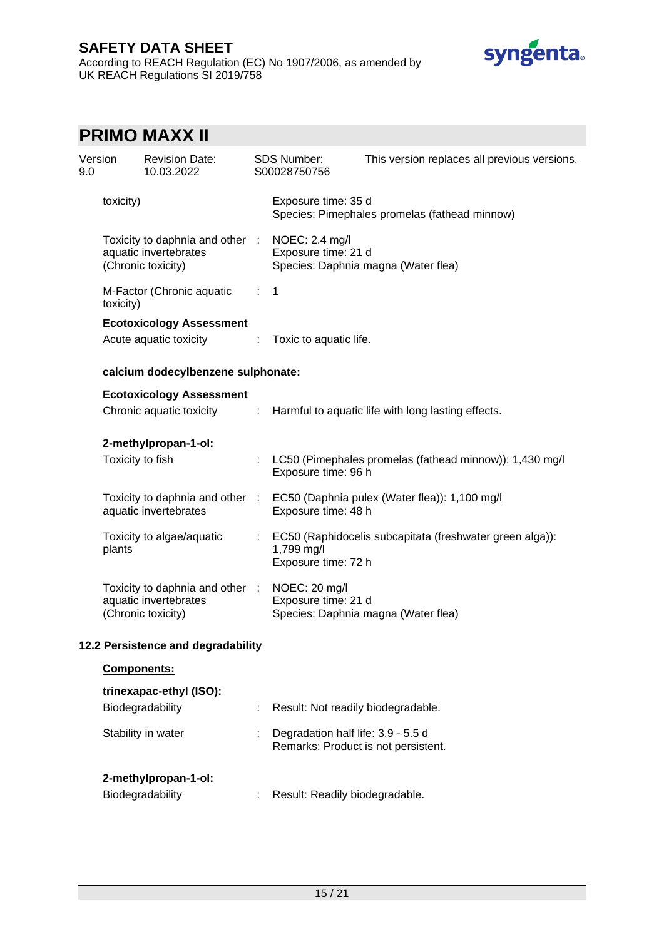According to REACH Regulation (EC) No 1907/2006, as amended by UK REACH Regulations SI 2019/758



# **PRIMO MAXX II**

| Version<br>9.0 |                      | <b>Revision Date:</b><br>10.03.2022                                                           |                             | <b>SDS Number:</b><br>S00028750756                                        | This version replaces all previous versions.                                  |  |  |
|----------------|----------------------|-----------------------------------------------------------------------------------------------|-----------------------------|---------------------------------------------------------------------------|-------------------------------------------------------------------------------|--|--|
|                | toxicity)            |                                                                                               |                             | Exposure time: 35 d                                                       | Species: Pimephales promelas (fathead minnow)                                 |  |  |
|                |                      | Toxicity to daphnia and other : NOEC: 2.4 mg/l<br>aquatic invertebrates<br>(Chronic toxicity) |                             | Exposure time: 21 d                                                       | Species: Daphnia magna (Water flea)                                           |  |  |
|                | toxicity)            | M-Factor (Chronic aquatic                                                                     | $\mathcal{L}_{\mathcal{A}}$ | $\mathbf 1$                                                               |                                                                               |  |  |
|                |                      | <b>Ecotoxicology Assessment</b>                                                               |                             |                                                                           |                                                                               |  |  |
|                |                      | Acute aquatic toxicity                                                                        | ÷                           | Toxic to aquatic life.                                                    |                                                                               |  |  |
|                |                      | calcium dodecylbenzene sulphonate:                                                            |                             |                                                                           |                                                                               |  |  |
|                |                      | <b>Ecotoxicology Assessment</b>                                                               |                             |                                                                           |                                                                               |  |  |
|                |                      | Chronic aquatic toxicity :                                                                    |                             | Harmful to aquatic life with long lasting effects.                        |                                                                               |  |  |
|                | 2-methylpropan-1-ol: |                                                                                               |                             |                                                                           |                                                                               |  |  |
|                | Toxicity to fish     |                                                                                               |                             | Exposure time: 96 h                                                       | LC50 (Pimephales promelas (fathead minnow)): 1,430 mg/l                       |  |  |
|                |                      | aquatic invertebrates                                                                         |                             | Exposure time: 48 h                                                       | Toxicity to daphnia and other : EC50 (Daphnia pulex (Water flea)): 1,100 mg/l |  |  |
|                | plants               | Toxicity to algae/aquatic                                                                     | $\mathcal{L}_{\mathcal{A}}$ | 1,799 mg/l<br>Exposure time: 72 h                                         | EC50 (Raphidocelis subcapitata (freshwater green alga)):                      |  |  |
|                |                      | Toxicity to daphnia and other : NOEC: 20 mg/l<br>aquatic invertebrates<br>(Chronic toxicity)  |                             | Exposure time: 21 d                                                       | Species: Daphnia magna (Water flea)                                           |  |  |
|                |                      | 12.2 Persistence and degradability                                                            |                             |                                                                           |                                                                               |  |  |
|                | <b>Components:</b>   |                                                                                               |                             |                                                                           |                                                                               |  |  |
|                |                      | trinexapac-ethyl (ISO):                                                                       |                             |                                                                           |                                                                               |  |  |
|                |                      | Biodegradability                                                                              |                             | Result: Not readily biodegradable.                                        |                                                                               |  |  |
|                |                      | Stability in water                                                                            |                             | Degradation half life: 3.9 - 5.5 d<br>Remarks: Product is not persistent. |                                                                               |  |  |
|                |                      | 2-methylpropan-1-ol:                                                                          |                             |                                                                           |                                                                               |  |  |
|                |                      | Biodegradability                                                                              |                             | Result: Readily biodegradable.                                            |                                                                               |  |  |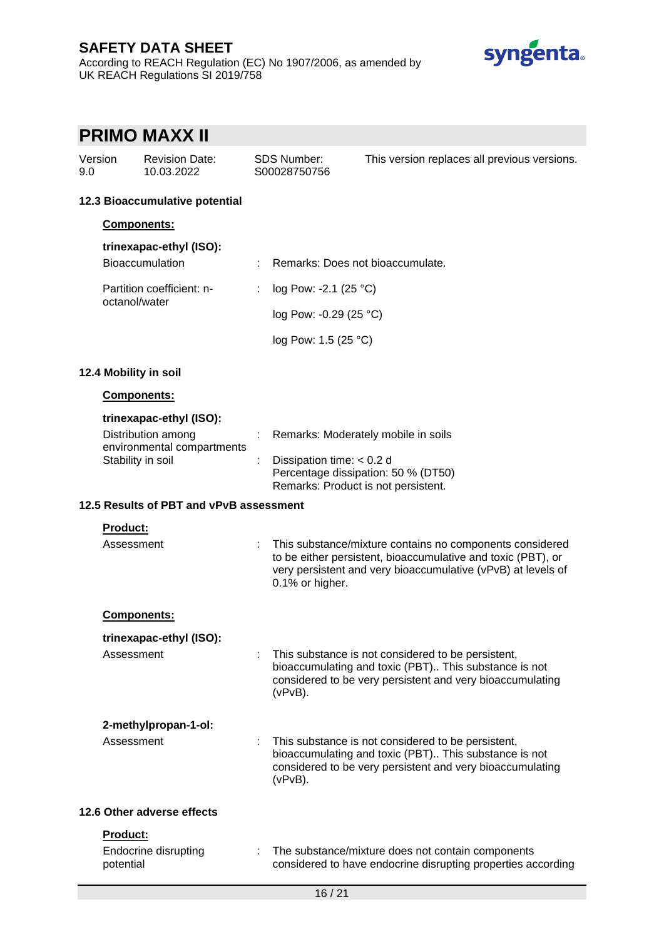According to REACH Regulation (EC) No 1907/2006, as amended by UK REACH Regulations SI 2019/758



# **PRIMO MAXX II**

| Version | <b>Revision Date:</b> | SDS Number:  | This version replaces all previous versions. |
|---------|-----------------------|--------------|----------------------------------------------|
| 9.0     | 10.03.2022            | S00028750756 |                                              |

### **12.3 Bioaccumulative potential**

#### **Components:**

| trinexapac-ethyl (ISO):                    |  |                                  |
|--------------------------------------------|--|----------------------------------|
| <b>Bioaccumulation</b>                     |  | Remarks: Does not bioaccumulate. |
| Partition coefficient: n-<br>octanol/water |  | log Pow: -2.1 (25 $^{\circ}$ C)  |
|                                            |  | log Pow: -0.29 (25 $^{\circ}$ C) |
|                                            |  | log Pow: 1.5 (25 °C)             |

### **12.4 Mobility in soil**

### **Components:**

### **trinexapac-ethyl (ISO):**

| Distribution among         | : Remarks: Moderately mobile in soils |
|----------------------------|---------------------------------------|
| environmental compartments |                                       |
| Stability in soil          | : Dissipation time: $< 0.2$ d         |
|                            | Percentage dissipation: 50 % (DT50)   |
|                            | Remarks: Product is not persistent.   |

### **12.5 Results of PBT and vPvB assessment**

### **Product:**

| Assessment                                           |  | This substance/mixture contains no components considered<br>to be either persistent, bioaccumulative and toxic (PBT), or<br>very persistent and very bioaccumulative (vPvB) at levels of<br>0.1% or higher. |
|------------------------------------------------------|--|-------------------------------------------------------------------------------------------------------------------------------------------------------------------------------------------------------------|
| Components:                                          |  |                                                                                                                                                                                                             |
| trinexapac-ethyl (ISO):                              |  |                                                                                                                                                                                                             |
| Assessment                                           |  | This substance is not considered to be persistent,<br>bioaccumulating and toxic (PBT) This substance is not<br>considered to be very persistent and very bioaccumulating<br>(vPvB).                         |
| 2-methylpropan-1-ol:                                 |  |                                                                                                                                                                                                             |
| Assessment                                           |  | This substance is not considered to be persistent,<br>bioaccumulating and toxic (PBT) This substance is not<br>considered to be very persistent and very bioaccumulating<br>(vPvB).                         |
| 12.6 Other adverse effects                           |  |                                                                                                                                                                                                             |
| <b>Product:</b><br>Endocrine disrupting<br>potential |  | The substance/mixture does not contain components<br>considered to have endocrine disrupting properties according                                                                                           |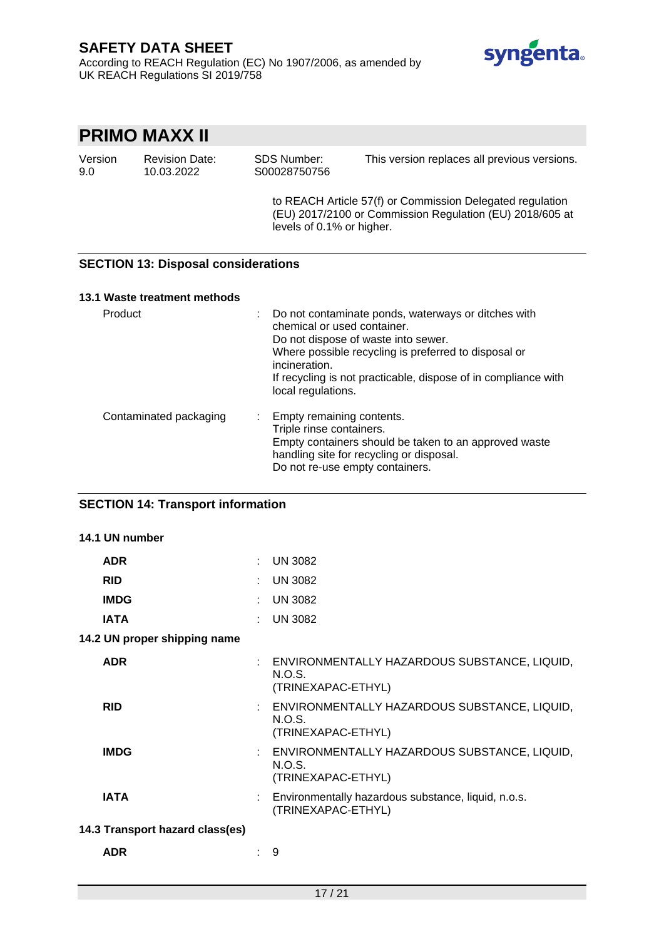According to REACH Regulation (EC) No 1907/2006, as amended by UK REACH Regulations SI 2019/758



# **PRIMO MAXX II**

| Version | <b>Revision Date:</b> | SDS Number:  | This version replaces all previous versions. |
|---------|-----------------------|--------------|----------------------------------------------|
| 9.0     | 10.03.2022            | S00028750756 |                                              |

to REACH Article 57(f) or Commission Delegated regulation (EU) 2017/2100 or Commission Regulation (EU) 2018/605 at levels of 0.1% or higher.

## **SECTION 13: Disposal considerations**

### **13.1 Waste treatment methods**

| Product                | Do not contaminate ponds, waterways or ditches with<br>chemical or used container.<br>Do not dispose of waste into sewer.<br>Where possible recycling is preferred to disposal or<br>incineration.<br>If recycling is not practicable, dispose of in compliance with<br>local regulations. |
|------------------------|--------------------------------------------------------------------------------------------------------------------------------------------------------------------------------------------------------------------------------------------------------------------------------------------|
| Contaminated packaging | : Empty remaining contents.<br>Triple rinse containers.<br>Empty containers should be taken to an approved waste<br>handling site for recycling or disposal.<br>Do not re-use empty containers.                                                                                            |

## **SECTION 14: Transport information**

| 14.1 UN number                  |        |                                                                                       |  |  |
|---------------------------------|--------|---------------------------------------------------------------------------------------|--|--|
| <b>ADR</b>                      | $\sim$ | <b>UN 3082</b>                                                                        |  |  |
| <b>RID</b>                      |        | <b>UN 3082</b>                                                                        |  |  |
| <b>IMDG</b>                     |        | <b>UN 3082</b>                                                                        |  |  |
| <b>IATA</b>                     |        | <b>UN 3082</b>                                                                        |  |  |
| 14.2 UN proper shipping name    |        |                                                                                       |  |  |
| <b>ADR</b>                      |        | : ENVIRONMENTALLY HAZARDOUS SUBSTANCE, LIQUID,<br>N.O.S.<br>(TRINEXAPAC-ETHYL)        |  |  |
| <b>RID</b>                      |        | : ENVIRONMENTALLY HAZARDOUS SUBSTANCE, LIQUID,<br><b>N.O.S.</b><br>(TRINEXAPAC-ETHYL) |  |  |
| <b>IMDG</b>                     |        | : ENVIRONMENTALLY HAZARDOUS SUBSTANCE, LIQUID,<br>N.O.S.<br>(TRINEXAPAC-ETHYL)        |  |  |
| <b>IATA</b>                     |        | Environmentally hazardous substance, liquid, n.o.s.<br>(TRINEXAPAC-ETHYL)             |  |  |
| 14.3 Transport hazard class(es) |        |                                                                                       |  |  |
| <b>ADR</b>                      |        | 9                                                                                     |  |  |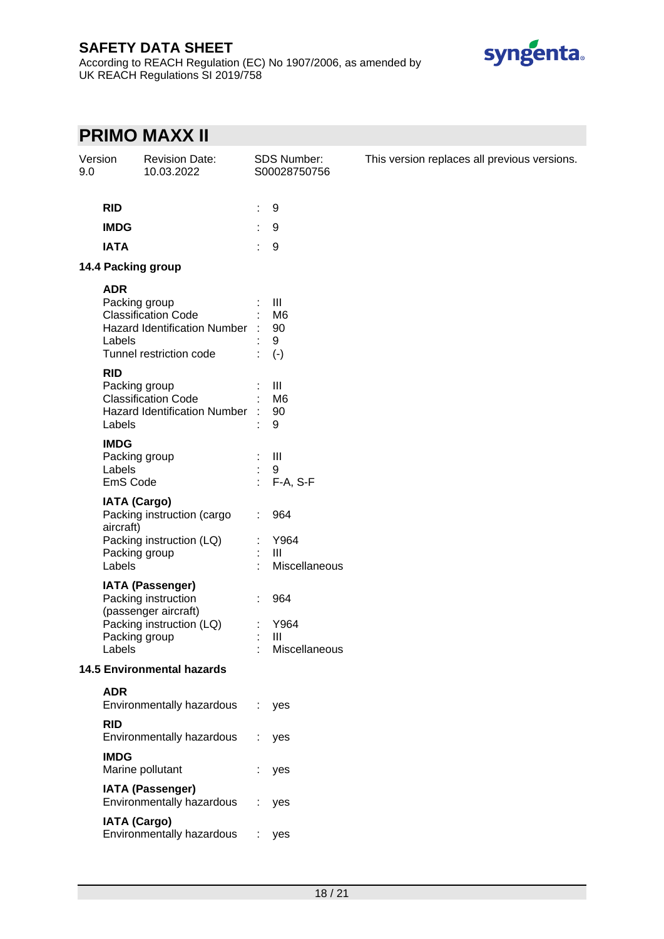According to REACH Regulation (EC) No 1907/2006, as amended by UK REACH Regulations SI 2019/758



# **PRIMO MAXX II**

| Version<br>9.0 |                                                             | <b>Revision Date:</b><br>10.03.2022                                                                |    | SDS Number:<br>S00028750756                          | This version replaces all previous versions. |
|----------------|-------------------------------------------------------------|----------------------------------------------------------------------------------------------------|----|------------------------------------------------------|----------------------------------------------|
|                | <b>RID</b>                                                  |                                                                                                    | ÷  | 9                                                    |                                              |
|                | <b>IMDG</b>                                                 |                                                                                                    |    | 9                                                    |                                              |
|                | <b>IATA</b>                                                 |                                                                                                    | ÷  | 9                                                    |                                              |
|                | 14.4 Packing group                                          |                                                                                                    |    |                                                      |                                              |
|                | <b>ADR</b>                                                  |                                                                                                    |    |                                                      |                                              |
|                | Packing group<br>Labels                                     | <b>Classification Code</b><br>Hazard Identification Number :<br>Tunnel restriction code            |    | $\mathbf{III}$<br>M <sub>6</sub><br>90<br>9<br>$(-)$ |                                              |
|                | <b>RID</b>                                                  |                                                                                                    |    |                                                      |                                              |
|                | Packing group<br>Labels                                     | <b>Classification Code</b><br>Hazard Identification Number :                                       |    | Ш<br>M <sub>6</sub><br>90<br>9                       |                                              |
|                | <b>IMDG</b><br>Packing group<br>Labels<br>EmS Code          |                                                                                                    |    | $\  \ $<br>9<br>F-A, S-F                             |                                              |
|                | <b>IATA (Cargo)</b><br>aircraft)<br>Packing group<br>Labels | Packing instruction (cargo<br>Packing instruction (LQ)                                             |    | 964<br>Y964<br>$\mathbf{III}$<br>Miscellaneous       |                                              |
|                | Packing group<br>Labels                                     | <b>IATA (Passenger)</b><br>Packing instruction<br>(passenger aircraft)<br>Packing instruction (LQ) |    | 964<br>Y964<br>Ш<br>Miscellaneous                    |                                              |
|                |                                                             | <b>14.5 Environmental hazards</b>                                                                  |    |                                                      |                                              |
|                | <b>ADR</b>                                                  | Environmentally hazardous                                                                          | ÷. | yes                                                  |                                              |
|                | <b>RID</b>                                                  | Environmentally hazardous                                                                          |    | yes                                                  |                                              |
|                | <b>IMDG</b>                                                 | Marine pollutant                                                                                   |    | yes                                                  |                                              |
|                |                                                             | <b>IATA (Passenger)</b><br>Environmentally hazardous                                               |    | yes                                                  |                                              |
|                | <b>IATA (Cargo)</b>                                         | Environmentally hazardous                                                                          |    | yes                                                  |                                              |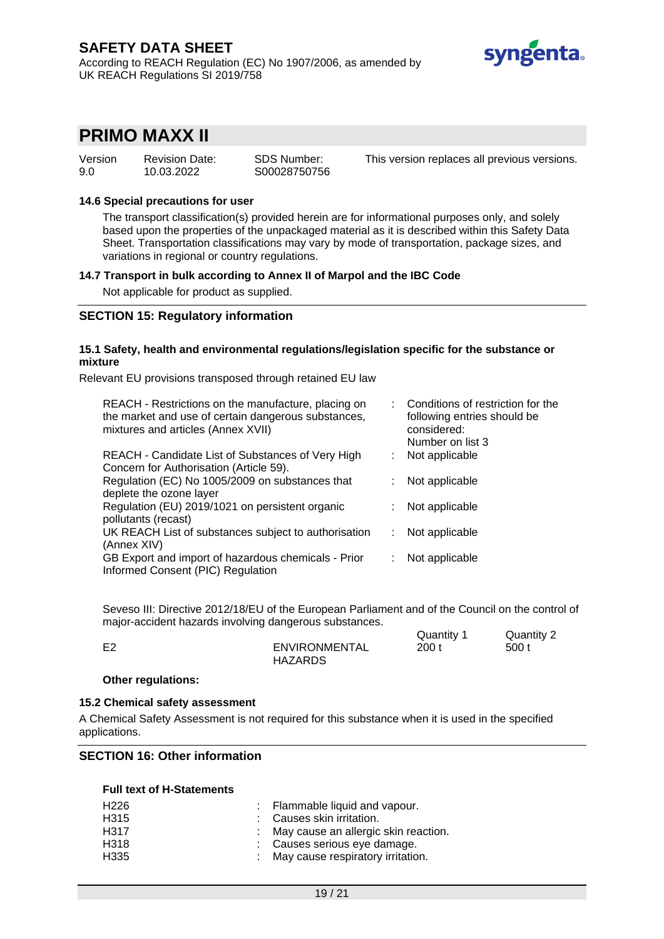### **SAFETY DATA SHEET** According to REACH Regulation (EC) No 1907/2006, as amended by UK REACH Regulations SI 2019/758



# **PRIMO MAXX II**

| Version | <b>Revision Date:</b> | SDS Number:  |
|---------|-----------------------|--------------|
| 9.0     | 10.03.2022            | S00028750756 |

This version replaces all previous versions.

### **14.6 Special precautions for user**

The transport classification(s) provided herein are for informational purposes only, and solely based upon the properties of the unpackaged material as it is described within this Safety Data Sheet. Transportation classifications may vary by mode of transportation, package sizes, and variations in regional or country regulations.

#### **14.7 Transport in bulk according to Annex II of Marpol and the IBC Code**

Not applicable for product as supplied.

### **SECTION 15: Regulatory information**

#### **15.1 Safety, health and environmental regulations/legislation specific for the substance or mixture**

Relevant EU provisions transposed through retained EU law

| REACH - Restrictions on the manufacture, placing on<br>the market and use of certain dangerous substances,<br>mixtures and articles (Annex XVII) |    | : Conditions of restriction for the<br>following entries should be<br>considered: |
|--------------------------------------------------------------------------------------------------------------------------------------------------|----|-----------------------------------------------------------------------------------|
|                                                                                                                                                  |    | Number on list 3                                                                  |
| REACH - Candidate List of Substances of Very High<br>Concern for Authorisation (Article 59).                                                     | ÷. | Not applicable                                                                    |
| Regulation (EC) No 1005/2009 on substances that<br>deplete the ozone layer                                                                       | ÷. | Not applicable                                                                    |
| Regulation (EU) 2019/1021 on persistent organic<br>pollutants (recast)                                                                           |    | Not applicable                                                                    |
| UK REACH List of substances subject to authorisation<br>(Annex XIV)                                                                              | t. | Not applicable                                                                    |
| GB Export and import of hazardous chemicals - Prior<br>Informed Consent (PIC) Regulation                                                         |    | Not applicable                                                                    |

Seveso III: Directive 2012/18/EU of the European Parliament and of the Council on the control of major-accident hazards involving dangerous substances.  $\Omega$ uantity 1  $\Omega$ uantity 2

|    |                | Quantity | Quantity 2 |
|----|----------------|----------|------------|
| につ | ENVIRONMENTAL  | 200 t    | 500 t      |
|    | <b>HAZARDS</b> |          |            |

#### **Other regulations:**

#### **15.2 Chemical safety assessment**

A Chemical Safety Assessment is not required for this substance when it is used in the specified applications.

### **SECTION 16: Other information**

### **Full text of H-Statements**

| H226 | : Flammable liquid and vapour.         |
|------|----------------------------------------|
| H315 | : Causes skin irritation.              |
| H317 | : May cause an allergic skin reaction. |
| H318 | : Causes serious eye damage.           |
| H335 | : May cause respiratory irritation.    |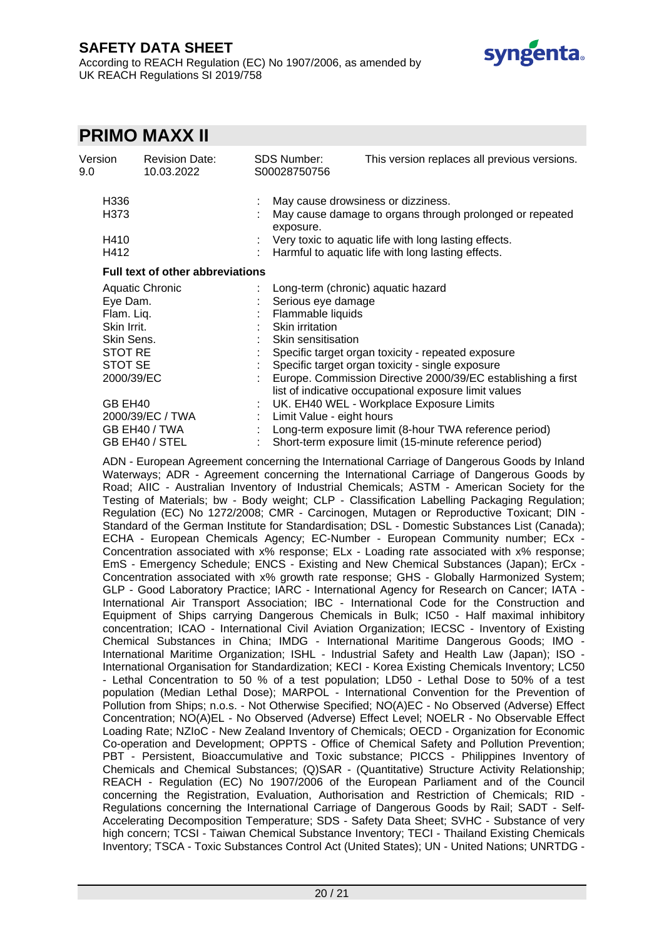According to REACH Regulation (EC) No 1907/2006, as amended by UK REACH Regulations SI 2019/758



# **PRIMO MAXX II**

| Version<br>9.0      | <b>Revision Date:</b><br>10.03.2022     |  | <b>SDS Number:</b><br>S00028750756                                                                                    | This version replaces all previous versions.             |  |  |
|---------------------|-----------------------------------------|--|-----------------------------------------------------------------------------------------------------------------------|----------------------------------------------------------|--|--|
| H336                |                                         |  |                                                                                                                       | May cause drowsiness or dizziness.                       |  |  |
| H373                |                                         |  | exposure.                                                                                                             | May cause damage to organs through prolonged or repeated |  |  |
|                     | H410                                    |  | Very toxic to aquatic life with long lasting effects.                                                                 |                                                          |  |  |
|                     | H412                                    |  |                                                                                                                       | Harmful to aquatic life with long lasting effects.       |  |  |
|                     | <b>Full text of other abbreviations</b> |  |                                                                                                                       |                                                          |  |  |
|                     | <b>Aquatic Chronic</b>                  |  |                                                                                                                       | Long-term (chronic) aquatic hazard                       |  |  |
|                     | Eye Dam.                                |  | Serious eye damage                                                                                                    |                                                          |  |  |
|                     | Flam. Liq.                              |  | Flammable liquids                                                                                                     |                                                          |  |  |
| Skin Irrit.         |                                         |  | Skin irritation                                                                                                       |                                                          |  |  |
| Skin Sens.          |                                         |  | Skin sensitisation                                                                                                    |                                                          |  |  |
| STOT RE             |                                         |  |                                                                                                                       | Specific target organ toxicity - repeated exposure       |  |  |
| STOT SE             |                                         |  |                                                                                                                       | Specific target organ toxicity - single exposure         |  |  |
| 2000/39/EC          |                                         |  | Europe. Commission Directive 2000/39/EC establishing a first<br>list of indicative occupational exposure limit values |                                                          |  |  |
| GB EH <sub>40</sub> |                                         |  |                                                                                                                       | UK. EH40 WEL - Workplace Exposure Limits                 |  |  |
| 2000/39/EC / TWA    |                                         |  | Limit Value - eight hours                                                                                             |                                                          |  |  |
| GB EH40 / TWA       |                                         |  |                                                                                                                       | Long-term exposure limit (8-hour TWA reference period)   |  |  |
|                     | GB EH40 / STEL                          |  |                                                                                                                       | Short-term exposure limit (15-minute reference period)   |  |  |

ADN - European Agreement concerning the International Carriage of Dangerous Goods by Inland Waterways; ADR - Agreement concerning the International Carriage of Dangerous Goods by Road; AIIC - Australian Inventory of Industrial Chemicals; ASTM - American Society for the Testing of Materials; bw - Body weight; CLP - Classification Labelling Packaging Regulation; Regulation (EC) No 1272/2008; CMR - Carcinogen, Mutagen or Reproductive Toxicant; DIN - Standard of the German Institute for Standardisation; DSL - Domestic Substances List (Canada); ECHA - European Chemicals Agency; EC-Number - European Community number; ECx Concentration associated with x% response; ELx - Loading rate associated with x% response; EmS - Emergency Schedule; ENCS - Existing and New Chemical Substances (Japan); ErCx - Concentration associated with x% growth rate response; GHS - Globally Harmonized System; GLP - Good Laboratory Practice; IARC - International Agency for Research on Cancer; IATA - International Air Transport Association; IBC - International Code for the Construction and Equipment of Ships carrying Dangerous Chemicals in Bulk; IC50 - Half maximal inhibitory concentration; ICAO - International Civil Aviation Organization; IECSC - Inventory of Existing Chemical Substances in China; IMDG - International Maritime Dangerous Goods; IMO - International Maritime Organization; ISHL - Industrial Safety and Health Law (Japan); ISO - International Organisation for Standardization; KECI - Korea Existing Chemicals Inventory; LC50 - Lethal Concentration to 50 % of a test population; LD50 - Lethal Dose to 50% of a test population (Median Lethal Dose); MARPOL - International Convention for the Prevention of Pollution from Ships; n.o.s. - Not Otherwise Specified; NO(A)EC - No Observed (Adverse) Effect Concentration; NO(A)EL - No Observed (Adverse) Effect Level; NOELR - No Observable Effect Loading Rate; NZIoC - New Zealand Inventory of Chemicals; OECD - Organization for Economic Co-operation and Development; OPPTS - Office of Chemical Safety and Pollution Prevention; PBT - Persistent, Bioaccumulative and Toxic substance; PICCS - Philippines Inventory of Chemicals and Chemical Substances; (Q)SAR - (Quantitative) Structure Activity Relationship; REACH - Regulation (EC) No 1907/2006 of the European Parliament and of the Council concerning the Registration, Evaluation, Authorisation and Restriction of Chemicals; RID - Regulations concerning the International Carriage of Dangerous Goods by Rail; SADT - Self-Accelerating Decomposition Temperature; SDS - Safety Data Sheet; SVHC - Substance of very high concern; TCSI - Taiwan Chemical Substance Inventory; TECI - Thailand Existing Chemicals Inventory; TSCA - Toxic Substances Control Act (United States); UN - United Nations; UNRTDG -